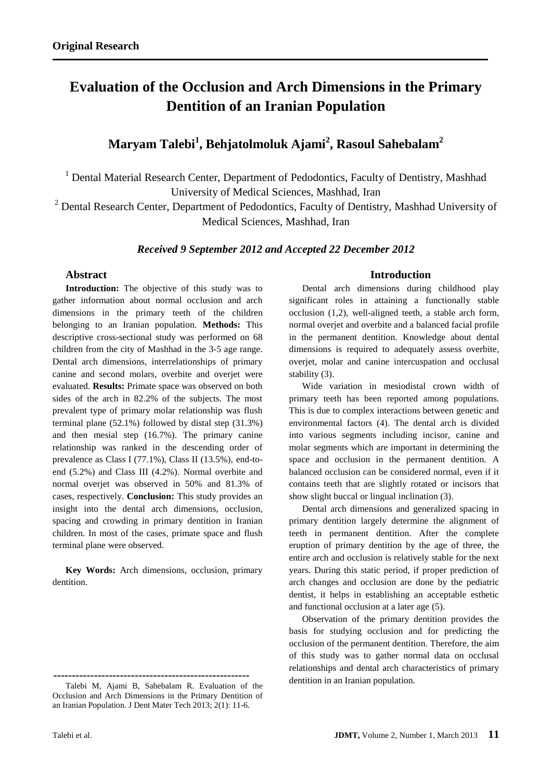# **Evaluation of the Occlusion and Arch Dimensions in the Primary Dentition of an Iranian Population**

**Maryam Talebi<sup>1</sup> , Behjatolmoluk Ajami<sup>2</sup> , Rasoul Sahebalam<sup>2</sup>**

<sup>1</sup> Dental Material Research Center, Department of Pedodontics, Faculty of Dentistry, Mashhad University of Medical Sciences, Mashhad, Iran

 $2$  Dental Research Center, Department of Pedodontics, Faculty of Dentistry, Mashhad University of Medical Sciences, Mashhad, Iran

# *Received 9 September 2012 and Accepted 22 December 2012*

# **Abstract**

**Introduction:** The objective of this study was to gather information about normal occlusion and arch dimensions in the primary teeth of the children belonging to an Iranian population. **Methods:** This descriptive cross-sectional study was performed on 68 children from the city of Mashhad in the 3-5 age range. Dental arch dimensions, interrelationships of primary canine and second molars, overbite and overjet were evaluated. **Results:** Primate space was observed on both sides of the arch in 82.2% of the subjects. The most prevalent type of primary molar relationship was flush terminal plane (52.1%) followed by distal step (31.3%) and then mesial step (16.7%). The primary canine relationship was ranked in the descending order of prevalence as Class I (77.1%), Class II (13.5%), end-toend (5.2%) and Class III (4.2%). Normal overbite and normal overjet was observed in 50% and 81.3% of cases, respectively. **Conclusion:** This study provides an insight into the dental arch dimensions, occlusion, spacing and crowding in primary dentition in Iranian children. In most of the cases, primate space and flush terminal plane were observed.

**Key Words:** Arch dimensions, occlusion, primary dentition.

## **Introduction**

Dental arch dimensions during childhood play significant roles in attaining a functionally stable occlusion (1,2), well-aligned teeth, a stable arch form, normal overjet and overbite and a balanced facial profile in the permanent dentition. Knowledge about dental dimensions is required to adequately assess overbite, overjet, molar and canine intercuspation and occlusal stability (3).

Wide variation in mesiodistal crown width of primary teeth has been reported among populations. This is due to complex interactions between genetic and environmental factors (4). The dental arch is divided into various segments including incisor, canine and molar segments which are important in determining the space and occlusion in the permanent dentition. A balanced occlusion can be considered normal, even if it contains teeth that are slightly rotated or incisors that show slight buccal or lingual inclination (3).

Dental arch dimensions and generalized spacing in primary dentition largely determine the alignment of teeth in permanent dentition. After the complete eruption of primary dentition by the age of three, the entire arch and occlusion is relatively stable for the next years. During this static period, if proper prediction of arch changes and occlusion are done by the pediatric dentist, it helps in establishing an acceptable esthetic and functional occlusion at a later age (5).

Observation of the primary dentition provides the basis for studying occlusion and for predicting the occlusion of the permanent dentition. Therefore, the aim of this study was to gather normal data on occlusal relationships and dental arch characteristics of primary dentition in an Iranian population.

**<sup>-----------------------------------------------------</sup>** Talebi M, Ajami B, Sahebalam R. Evaluation of the Occlusion and Arch Dimensions in the Primary Dentition of an Iranian Population. J Dent Mater Tech 2013; 2(1): 11-6.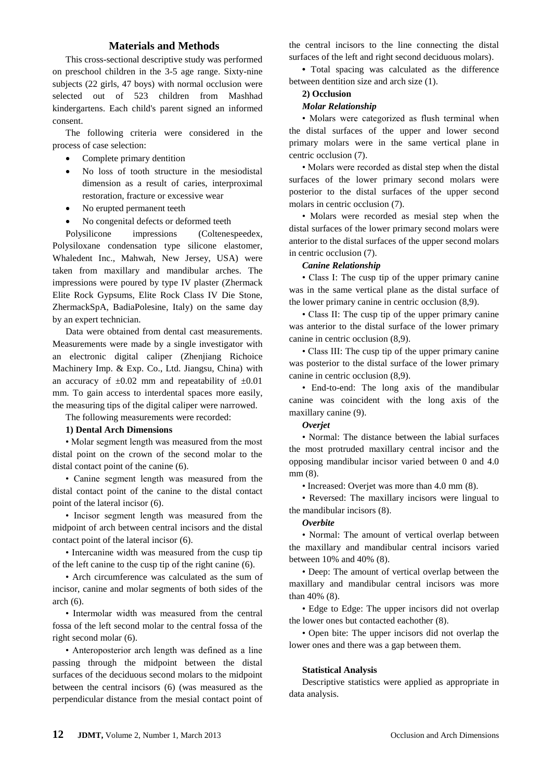# **Materials and Methods**

This cross-sectional descriptive study was performed on preschool children in the 3-5 age range. Sixty-nine subjects (22 girls, 47 boys) with normal occlusion were selected out of 523 children from Mashhad kindergartens. Each child's parent signed an informed consent.

The following criteria were considered in the process of case selection:

- Complete primary dentition
- No loss of tooth structure in the mesiodistal dimension as a result of caries, interproximal restoration, fracture or excessive wear
- No erupted permanent teeth
- No congenital defects or deformed teeth

Polysilicone impressions (Coltenespeedex, Polysiloxane condensation type silicone elastomer, Whaledent Inc., Mahwah, New Jersey, USA) were taken from maxillary and mandibular arches. The impressions were poured by type IV plaster (Zhermack Elite Rock Gypsums, Elite Rock Class IV Die Stone, ZhermackSpA, BadiaPolesine, Italy) on the same day by an expert technician.

Data were obtained from dental cast measurements. Measurements were made by a single investigator with an electronic digital caliper (Zhenjiang Richoice Machinery Imp. & Exp. Co., Ltd. Jiangsu, China) with an accuracy of  $\pm 0.02$  mm and repeatability of  $\pm 0.01$ mm. To gain access to interdental spaces more easily, the measuring tips of the digital caliper were narrowed.

The following measurements were recorded:

# **1) Dental Arch Dimensions**

• Molar segment length was measured from the most distal point on the crown of the second molar to the distal contact point of the canine (6).

• Canine segment length was measured from the distal contact point of the canine to the distal contact point of the lateral incisor (6).

• Incisor segment length was measured from the midpoint of arch between central incisors and the distal contact point of the lateral incisor (6).

• Intercanine width was measured from the cusp tip of the left canine to the cusp tip of the right canine (6).

• Arch circumference was calculated as the sum of incisor, canine and molar segments of both sides of the  $arch(6)$ .

• Intermolar width was measured from the central fossa of the left second molar to the central fossa of the right second molar (6).

• Anteroposterior arch length was defined as a line passing through the midpoint between the distal surfaces of the deciduous second molars to the midpoint between the central incisors (6) (was measured as the perpendicular distance from the mesial contact point of the central incisors to the line connecting the distal surfaces of the left and right second deciduous molars).

**•** Total spacing was calculated as the difference between dentition size and arch size (1).

#### **2) Occlusion**

#### *Molar Relationship*

• Molars were categorized as flush terminal when the distal surfaces of the upper and lower second primary molars were in the same vertical plane in centric occlusion (7).

• Molars were recorded as distal step when the distal surfaces of the lower primary second molars were posterior to the distal surfaces of the upper second molars in centric occlusion (7).

• Molars were recorded as mesial step when the distal surfaces of the lower primary second molars were anterior to the distal surfaces of the upper second molars in centric occlusion (7).

#### *Canine Relationship*

• Class I: The cusp tip of the upper primary canine was in the same vertical plane as the distal surface of the lower primary canine in centric occlusion (8,9).

• Class II: The cusp tip of the upper primary canine was anterior to the distal surface of the lower primary canine in centric occlusion (8,9).

• Class III: The cusp tip of the upper primary canine was posterior to the distal surface of the lower primary canine in centric occlusion (8,9).

• End-to-end: The long axis of the mandibular canine was coincident with the long axis of the maxillary canine (9).

## *Overjet*

• Normal: The distance between the labial surfaces the most protruded maxillary central incisor and the opposing mandibular incisor varied between 0 and 4.0 mm (8).

• Increased: Overjet was more than 4.0 mm (8).

• Reversed: The maxillary incisors were lingual to the mandibular incisors (8).

## *Overbite*

• Normal: The amount of vertical overlap between the maxillary and mandibular central incisors varied between 10% and 40% (8).

• Deep: The amount of vertical overlap between the maxillary and mandibular central incisors was more than 40% (8).

• Edge to Edge: The upper incisors did not overlap the lower ones but contacted eachother (8).

• Open bite: The upper incisors did not overlap the lower ones and there was a gap between them.

#### **Statistical Analysis**

Descriptive statistics were applied as appropriate in data analysis.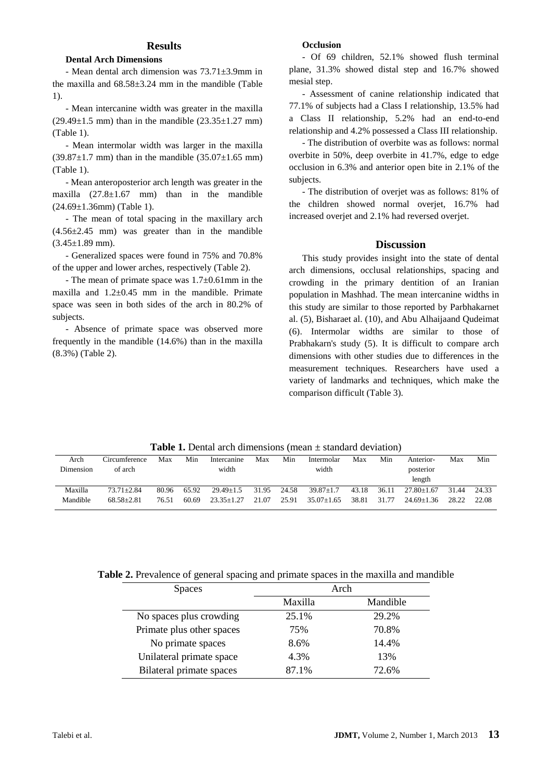## **Results**

#### **Dental Arch Dimensions**

- Mean dental arch dimension was 73.71±3.9mm in the maxilla and  $68.58\pm3.24$  mm in the mandible (Table 1).

- Mean intercanine width was greater in the maxilla  $(29.49 \pm 1.5 \text{ mm})$  than in the mandible  $(23.35 \pm 1.27 \text{ mm})$ (Table 1).

- Mean intermolar width was larger in the maxilla  $(39.87 \pm 1.7 \text{ mm})$  than in the mandible  $(35.07 \pm 1.65 \text{ mm})$ (Table 1).

- Mean anteroposterior arch length was greater in the maxilla  $(27.8 \pm 1.67$  mm) than in the mandible (24.69±1.36mm) (Table 1).

- The mean of total spacing in the maxillary arch  $(4.56\pm2.45$  mm) was greater than in the mandible  $(3.45 \pm 1.89$  mm).

- Generalized spaces were found in 75% and 70.8% of the upper and lower arches, respectively (Table 2).

- The mean of primate space was 1.7±0.61mm in the maxilla and  $1.2\pm0.45$  mm in the mandible. Primate space was seen in both sides of the arch in 80.2% of subjects.

- Absence of primate space was observed more frequently in the mandible (14.6%) than in the maxilla (8.3%) (Table 2).

# **Occlusion**

- Of 69 children, 52.1% showed flush terminal plane, 31.3% showed distal step and 16.7% showed mesial step.

- Assessment of canine relationship indicated that 77.1% of subjects had a Class I relationship, 13.5% had a Class II relationship, 5.2% had an end-to-end relationship and 4.2% possessed a Class III relationship.

- The distribution of overbite was as follows: normal overbite in 50%, deep overbite in 41.7%, edge to edge occlusion in 6.3% and anterior open bite in 2.1% of the subjects.

- The distribution of overjet was as follows: 81% of the children showed normal overjet, 16.7% had increased overjet and 2.1% had reversed overjet.

## **Discussion**

This study provides insight into the state of dental arch dimensions, occlusal relationships, spacing and crowding in the primary dentition of an Iranian population in Mashhad. The mean intercanine widths in this study are similar to those reported by Parbhakarnet al. (5), Bisharaet al. (10), and Abu Alhaijaand Qudeimat (6). Intermolar widths are similar to those of Prabhakarn's study (5). It is difficult to compare arch dimensions with other studies due to differences in the measurement techniques. Researchers have used a variety of landmarks and techniques, which make the comparison difficult (Table 3).

**Table 1.** Dental arch dimensions (mean  $\pm$  standard deviation)

| Arch      | Circumference  | Max   | Min   | Intercanine      | Max   | Min   | Intermolar       | Max   | Min   | Anterior-        | Max   | Min   |
|-----------|----------------|-------|-------|------------------|-------|-------|------------------|-------|-------|------------------|-------|-------|
| Dimension | of arch        |       |       | width            |       |       | width            |       |       | posterior        |       |       |
|           |                |       |       |                  |       |       |                  |       |       | length           |       |       |
| Maxilla   | $73.71 + 2.84$ | 80.96 | 65.92 | $29.49 \pm 1.5$  | 31.95 | 24.58 | $39.87 \pm 1.7$  | 43.18 | 36.11 | $27.80 \pm 1.67$ | 31.44 | 24.33 |
| Mandible  | $68.58 + 2.81$ | 76.51 | 60.69 | $23.35 \pm 1.27$ | 21.07 | 25.91 | $35.07 \pm 1.65$ | 38.81 | 31.77 | $24.69+1.36$     | 28.22 | 22.08 |
|           |                |       |       |                  |       |       |                  |       |       |                  |       |       |

## **Table 2.** Prevalence of general spacing and primate spaces in the maxilla and mandible

| <b>Spaces</b>             | Arch    |          |  |  |  |  |
|---------------------------|---------|----------|--|--|--|--|
|                           | Maxilla | Mandible |  |  |  |  |
| No spaces plus crowding   | 25.1%   | 29.2%    |  |  |  |  |
| Primate plus other spaces | 75%     | 70.8%    |  |  |  |  |
| No primate spaces         | 8.6%    | 14.4%    |  |  |  |  |
| Unilateral primate space  | 4.3%    | 13%      |  |  |  |  |
| Bilateral primate spaces  | 87.1%   | 72.6%    |  |  |  |  |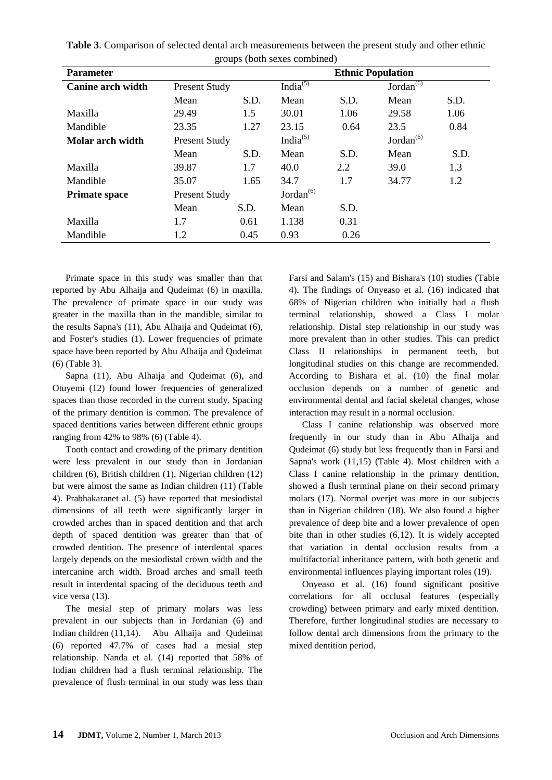**Table 3**. Comparison of selected dental arch measurements between the present study and other ethnic groups (both sexes combined)

| <b>Parameter</b>         |                      |      | <b>Ethnic Population</b> |      |                 |      |  |  |  |
|--------------------------|----------------------|------|--------------------------|------|-----------------|------|--|--|--|
| <b>Canine arch width</b> | Present Study        |      | India $^{(5)}$           |      | Jordan $^{(6)}$ |      |  |  |  |
|                          | Mean                 | S.D. | Mean                     | S.D. | Mean            | S.D. |  |  |  |
| Maxilla                  | 29.49                | 1.5  | 30.01                    | 1.06 | 29.58           | 1.06 |  |  |  |
| Mandible                 | 23.35                | 1.27 | 23.15                    | 0.64 | 23.5            | 0.84 |  |  |  |
| Molar arch width         | <b>Present Study</b> |      | India $^{(5)}$           |      | Jordan $^{(6)}$ |      |  |  |  |
|                          | Mean                 | S.D. | Mean                     | S.D. | Mean            | S.D. |  |  |  |
| Maxilla                  | 39.87                | 1.7  | 40.0                     | 2.2  | 39.0            | 1.3  |  |  |  |
| Mandible                 | 35.07                | 1.65 | 34.7                     | 1.7  | 34.77           | 1.2  |  |  |  |
| <b>Primate space</b>     | <b>Present Study</b> |      | Jordan $^{(6)}$          |      |                 |      |  |  |  |
|                          | Mean                 | S.D. | Mean                     | S.D. |                 |      |  |  |  |
| Maxilla                  | 1.7                  | 0.61 | 1.138                    | 0.31 |                 |      |  |  |  |
| Mandible                 | 1.2                  | 0.45 | 0.93                     | 0.26 |                 |      |  |  |  |

Primate space in this study was smaller than that reported by Abu Alhaija and Qudeimat (6) in maxilla. The prevalence of primate space in our study was greater in the maxilla than in the mandible, similar to the results Sapna's (11), Abu Alhaija and Qudeimat (6), and Foster's studies (1). Lower frequencies of primate space have been reported by Abu Alhaija and Qudeimat (6) (Table 3).

Sapna (11), Abu Alhaija and Qudeimat (6), and Otuyemi (12) found lower frequencies of generalized spaces than those recorded in the current study. Spacing of the primary dentition is common. The prevalence of spaced dentitions varies between different ethnic groups ranging from 42% to 98% (6) (Table 4).

Tooth contact and crowding of the primary dentition were less prevalent in our study than in Jordanian children (6), British children (1), Nigerian children (12) but were almost the same as Indian children (11) (Table 4). Prabhakaranet al. (5) have reported that mesiodistal dimensions of all teeth were significantly larger in crowded arches than in spaced dentition and that arch depth of spaced dentition was greater than that of crowded dentition. The presence of interdental spaces largely depends on the mesiodistal crown width and the intercanine arch width. Broad arches and small teeth result in interdental spacing of the deciduous teeth and vice versa (13).

The mesial step of primary molars was less prevalent in our subjects than in Jordanian (6) and Indian children (11,14). Abu Alhaija and Qudeimat (6) reported 47.7% of cases had a mesial step relationship. Nanda et al. (14) reported that 58% of Indian children had a flush terminal relationship. The prevalence of flush terminal in our study was less than

Farsi and Salam's (15) and Bishara's (10) studies (Table 4). The findings of Onyeaso et al. (16) indicated that 68% of Nigerian children who initially had a flush terminal relationship, showed a Class I molar relationship. Distal step relationship in our study was more prevalent than in other studies. This can predict Class II relationships in permanent teeth, but longitudinal studies on this change are recommended. According to Bishara et al. (10) the final molar occlusion depends on a number of genetic and environmental dental and facial skeletal changes, whose interaction may result in a normal occlusion.

Class I canine relationship was observed more frequently in our study than in Abu Alhaija and Qudeimat (6) study but less frequently than in Farsi and Sapna's work (11,15) (Table 4). Most children with a Class I canine relationship in the primary dentition, showed a flush terminal plane on their second primary molars (17). Normal overjet was more in our subjects than in Nigerian children (18). We also found a higher prevalence of deep bite and a lower prevalence of open bite than in other studies (6,12). It is widely accepted that variation in dental occlusion results from a multifactorial inheritance pattern, with both genetic and environmental influences playing important roles (19).

Onyeaso et al. (16) found significant positive correlations for all occlusal features (especially crowding) between primary and early mixed dentition. Therefore, further longitudinal studies are necessary to follow dental arch dimensions from the primary to the mixed dentition period.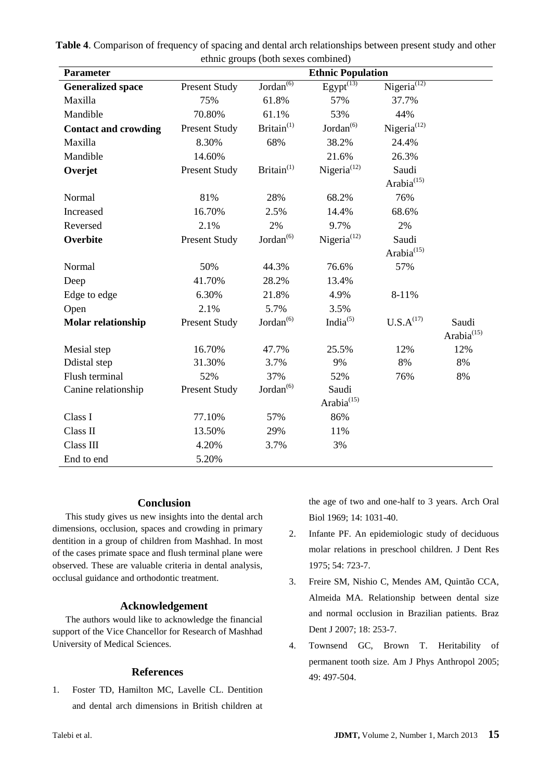|                             |                      | culine groups (bour seals combined) |                          |                                 |                        |  |  |
|-----------------------------|----------------------|-------------------------------------|--------------------------|---------------------------------|------------------------|--|--|
| <b>Parameter</b>            |                      |                                     | <b>Ethnic Population</b> |                                 |                        |  |  |
| <b>Generalized space</b>    | <b>Present Study</b> | Jordan <sup>(6)</sup>               | $E$ gypt $(13)$          | $Nigeria^{(12)}$                |                        |  |  |
| Maxilla                     | 75%                  | 61.8%                               | 57%                      | 37.7%                           |                        |  |  |
| Mandible                    | 70.80%               | 61.1%                               | 53%                      | 44%                             |                        |  |  |
| <b>Contact and crowding</b> | <b>Present Study</b> | Britain <sup>(1)</sup>              | Jordan <sup>(6)</sup>    | Nigeria <sup>(12)</sup>         |                        |  |  |
| Maxilla                     | 8.30%                | 68%                                 | 38.2%                    | 24.4%                           |                        |  |  |
| Mandible                    | 14.60%               |                                     | 21.6%                    | 26.3%                           |                        |  |  |
| Overjet                     | <b>Present Study</b> | Britain $(1)$                       | Nigeria <sup>(12)</sup>  | Saudi<br>Arabia <sup>(15)</sup> |                        |  |  |
| Normal                      | 81%                  | 28%                                 | 68.2%                    | 76%                             |                        |  |  |
| Increased                   | 16.70%               | 2.5%                                | 14.4%                    | 68.6%                           |                        |  |  |
| Reversed                    | 2.1%                 | 2%                                  | 9.7%                     | 2%                              |                        |  |  |
| Overbite                    | <b>Present Study</b> | Jordan <sup>(6)</sup>               | Nigeria $(12)$           | Saudi<br>Arabia $^{(15)}$       |                        |  |  |
| Normal                      | 50%                  | 44.3%                               | 76.6%                    | 57%                             |                        |  |  |
| Deep                        | 41.70%               | 28.2%                               | 13.4%                    |                                 |                        |  |  |
| Edge to edge                | 6.30%                | 21.8%                               | 4.9%                     | 8-11%                           |                        |  |  |
| Open                        | 2.1%                 | 5.7%                                | 3.5%                     |                                 |                        |  |  |
| <b>Molar relationship</b>   | <b>Present Study</b> | Jordan <sup>(6)</sup>               | India $^{(5)}$           | $\mathbf{U.S.A}^{(17)}$         | Saudi                  |  |  |
|                             |                      |                                     |                          |                                 | Arabia <sup>(15)</sup> |  |  |
| Mesial step                 | 16.70%               | 47.7%                               | 25.5%                    | 12%                             | 12%                    |  |  |
| Ddistal step                | 31.30%               | 3.7%                                | 9%                       | $8\%$                           | 8%                     |  |  |
| Flush terminal              | 52%                  | 37%                                 | 52%                      | 76%                             | 8%                     |  |  |
| Canine relationship         | Present Study        | Jordan <sup>(6)</sup>               | Saudi                    |                                 |                        |  |  |
|                             |                      |                                     | Arabia $^{(15)}$         |                                 |                        |  |  |
| Class I                     | 77.10%               | 57%                                 | 86%                      |                                 |                        |  |  |
| Class II                    | 13.50%               | 29%                                 | 11%                      |                                 |                        |  |  |
| Class III                   | 4.20%                | 3.7%                                | 3%                       |                                 |                        |  |  |
| End to end                  | 5.20%                |                                     |                          |                                 |                        |  |  |

**Table 4**. Comparison of frequency of spacing and dental arch relationships between present study and other ethnic groups (both sexes combined)

# **Conclusion**

This study gives us new insights into the dental arch dimensions, occlusion, spaces and crowding in primary dentition in a group of children from Mashhad. In most of the cases primate space and flush terminal plane were observed. These are valuable criteria in dental analysis, occlusal guidance and orthodontic treatment.

# **Acknowledgement**

The authors would like to acknowledge the financial support of the Vice Chancellor for Research of Mashhad University of Medical Sciences.

# **References**

1. Foster TD, Hamilton MC, Lavelle CL. Dentition and dental arch dimensions in British children at the age of two and one-half to 3 years. Arch Oral Biol 1969; 14: 1031-40.

- 2. Infante PF. An epidemiologic study of deciduous molar relations in preschool children. J Dent Res 1975; 54: 723-7.
- 3. Freire SM, Nishio C, Mendes AM, Quintão CCA, Almeida MA. Relationship between dental size and normal occlusion in Brazilian patients. Braz Dent J 2007; 18: 253-7.
- 4. Townsend GC, Brown T. Heritability of permanent tooth size. Am J Phys Anthropol 2005; 49: 497-504.